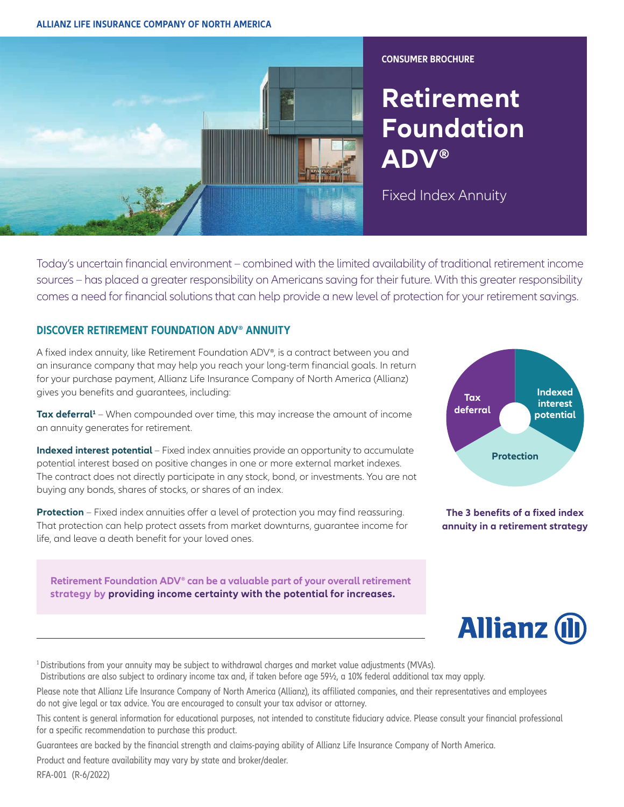#### **ALLIANZ LIFE INSURANCE COMPANY OF NORTH AMERICA**



**CONSUMER BROCHURE** 

# **Retirement Foundation ADV®**

Fixed Index Annuity

Today's uncertain financial environment – combined with the limited availability of traditional retirement income sources – has placed a greater responsibility on Americans saving for their future. With this greater responsibility comes a need for financial solutions that can help provide a new level of protection for your retirement savings.

### **DISCOVER RETIREMENT FOUNDATION ADV® ANNUITY**

A fixed index annuity, like Retirement Foundation ADV®, is a contract between you and an insurance company that may help you reach your long-term financial goals. In return for your purchase payment, Allianz Life Insurance Company of North America (Allianz) gives you benefits and guarantees, including:

Tax deferral<sup>1</sup> – When compounded over time, this may increase the amount of income an annuity generates for retirement.

**Indexed interest potential** – Fixed index annuities provide an opportunity to accumulate potential interest based on positive changes in one or more external market indexes. The contract does not directly participate in any stock, bond, or investments. You are not buying any bonds, shares of stocks, or shares of an index.

**Protection** – Fixed index annuities offer a level of protection you may find reassuring. That protection can help protect assets from market downturns, guarantee income for life, and leave a death benefit for your loved ones.

**Retirement Foundation ADV® can be a valuable part of your overall retirement strategy by providing income certainty with the potential for increases.** 



**The 3 benefits of a fixed index annuity in a retirement strategy**



<sup>1</sup> Distributions from your annuity may be subject to withdrawal charges and market value adjustments (MVAs).

Distributions are also subject to ordinary income tax and, if taken before age 59½, a 10% federal additional tax may apply.

Please note that Allianz Life Insurance Company of North America (Allianz), its affiliated companies, and their representatives and employees do not give legal or tax advice. You are encouraged to consult your tax advisor or attorney.

This content is general information for educational purposes, not intended to constitute fiduciary advice. Please consult your financial professional for a specific recommendation to purchase this product.

Guarantees are backed by the financial strength and claims-paying ability of Allianz Life Insurance Company of North America.

Product and feature availability may vary by state and broker/dealer.

RFA-001 (R-6/2022)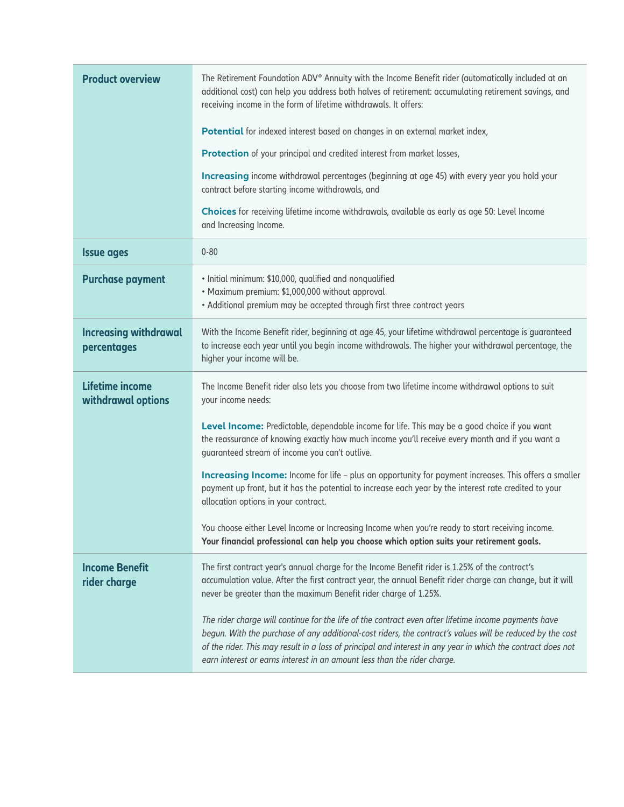| <b>Product overview</b>                      | The Retirement Foundation ADV® Annuity with the Income Benefit rider (automatically included at an<br>additional cost) can help you address both halves of retirement: accumulating retirement savings, and<br>receiving income in the form of lifetime withdrawals. It offers:                                                                                                                               |  |  |  |
|----------------------------------------------|---------------------------------------------------------------------------------------------------------------------------------------------------------------------------------------------------------------------------------------------------------------------------------------------------------------------------------------------------------------------------------------------------------------|--|--|--|
|                                              | Potential for indexed interest based on changes in an external market index,                                                                                                                                                                                                                                                                                                                                  |  |  |  |
|                                              | Protection of your principal and credited interest from market losses,                                                                                                                                                                                                                                                                                                                                        |  |  |  |
|                                              | Increasing income withdrawal percentages (beginning at age 45) with every year you hold your<br>contract before starting income withdrawals, and                                                                                                                                                                                                                                                              |  |  |  |
|                                              | Choices for receiving lifetime income withdrawals, available as early as age 50: Level Income<br>and Increasing Income.                                                                                                                                                                                                                                                                                       |  |  |  |
| <b>Issue ages</b>                            | $0 - 80$                                                                                                                                                                                                                                                                                                                                                                                                      |  |  |  |
| <b>Purchase payment</b>                      | · Initial minimum: \$10,000, qualified and nonqualified<br>• Maximum premium: \$1,000,000 without approval<br>• Additional premium may be accepted through first three contract years                                                                                                                                                                                                                         |  |  |  |
| <b>Increasing withdrawal</b><br>percentages  | With the Income Benefit rider, beginning at age 45, your lifetime withdrawal percentage is guaranteed<br>to increase each year until you begin income withdrawals. The higher your withdrawal percentage, the<br>higher your income will be.                                                                                                                                                                  |  |  |  |
| <b>Lifetime income</b><br>withdrawal options | The Income Benefit rider also lets you choose from two lifetime income withdrawal options to suit<br>your income needs:                                                                                                                                                                                                                                                                                       |  |  |  |
|                                              | Level Income: Predictable, dependable income for life. This may be a good choice if you want<br>the reassurance of knowing exactly how much income you'll receive every month and if you want a<br>guaranteed stream of income you can't outlive.                                                                                                                                                             |  |  |  |
|                                              | Increasing Income: Income for life - plus an opportunity for payment increases. This offers a smaller<br>payment up front, but it has the potential to increase each year by the interest rate credited to your<br>allocation options in your contract.                                                                                                                                                       |  |  |  |
|                                              | You choose either Level Income or Increasing Income when you're ready to start receiving income.<br>Your financial professional can help you choose which option suits your retirement goals.                                                                                                                                                                                                                 |  |  |  |
| <b>Income Benefit</b><br>rider charge        | The first contract year's annual charge for the Income Benefit rider is 1.25% of the contract's<br>accumulation value. After the first contract year, the annual Benefit rider charge can change, but it will<br>never be greater than the maximum Benefit rider charge of 1.25%.                                                                                                                             |  |  |  |
|                                              | The rider charge will continue for the life of the contract even after lifetime income payments have<br>begun. With the purchase of any additional-cost riders, the contract's values will be reduced by the cost<br>of the rider. This may result in a loss of principal and interest in any year in which the contract does not<br>earn interest or earns interest in an amount less than the rider charge. |  |  |  |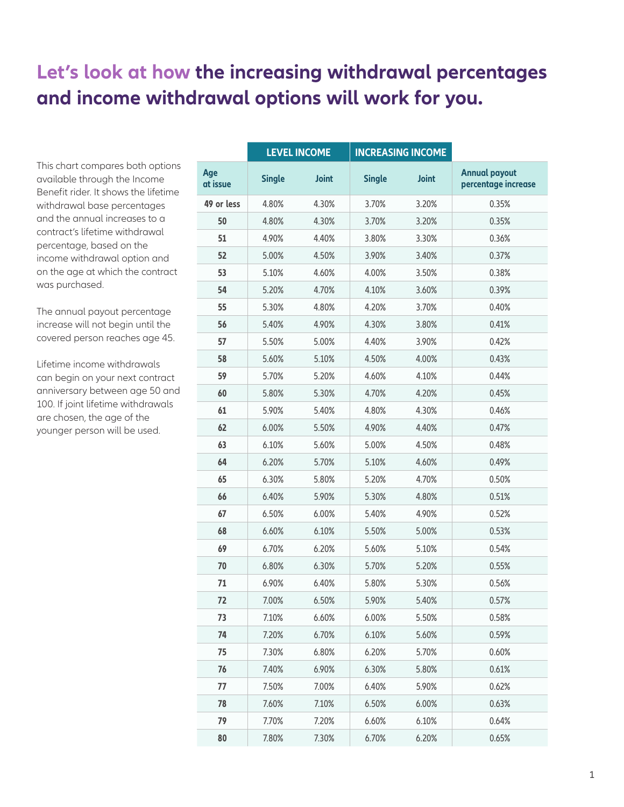## **Let's look at how the increasing withdrawal percentages and income withdrawal options will work for you.**

This chart compares both options available through the Income Benefit rider. It shows the lifetime withdrawal base percentages and the annual increases to a contract's lifetime withdrawal percentage, based on the income withdrawal option and on the age at which the contract was purchased.

The annual payout percentage increase will not begin until the covered person reaches age 45.

Lifetime income withdrawals can begin on your next contract anniversary between age 50 and 100. If joint lifetime withdrawals are chosen, the age of the younger person will be used.

|                 | <b>LEVEL INCOME</b> |              |               | <b>INCREASING INCOME</b> |                                             |
|-----------------|---------------------|--------------|---------------|--------------------------|---------------------------------------------|
| Age<br>at issue | <b>Single</b>       | <b>Joint</b> | <b>Single</b> | <b>Joint</b>             | <b>Annual payout</b><br>percentage increase |
| 49 or less      | 4.80%               | 4.30%        | 3.70%         | 3.20%                    | 0.35%                                       |
| 50              | 4.80%               | 4.30%        | 3.70%         | 3.20%                    | 0.35%                                       |
| 51              | 4.90%               | 4.40%        | 3.80%         | 3.30%                    | 0.36%                                       |
| 52              | 5.00%               | 4.50%        | 3.90%         | 3.40%                    | 0.37%                                       |
| 53              | 5.10%               | 4.60%        | 4.00%         | 3.50%                    | 0.38%                                       |
| 54              | 5.20%               | 4.70%        | 4.10%         | 3.60%                    | 0.39%                                       |
| 55              | 5.30%               | 4.80%        | 4.20%         | 3.70%                    | 0.40%                                       |
| 56              | 5.40%               | 4.90%        | 4.30%         | 3.80%                    | 0.41%                                       |
| 57              | 5.50%               | 5.00%        | 4.40%         | 3.90%                    | 0.42%                                       |
| 58              | 5.60%               | 5.10%        | 4.50%         | 4.00%                    | 0.43%                                       |
| 59              | 5.70%               | 5.20%        | 4.60%         | 4.10%                    | 0.44%                                       |
| 60              | 5.80%               | 5.30%        | 4.70%         | 4.20%                    | 0.45%                                       |
| 61              | 5.90%               | 5.40%        | 4.80%         | 4.30%                    | 0.46%                                       |
| 62              | 6.00%               | 5.50%        | 4.90%         | 4.40%                    | 0.47%                                       |
| 63              | 6.10%               | 5.60%        | 5.00%         | 4.50%                    | 0.48%                                       |
| 64              | 6.20%               | 5.70%        | 5.10%         | 4.60%                    | 0.49%                                       |
| 65              | 6.30%               | 5.80%        | 5.20%         | 4.70%                    | 0.50%                                       |
| 66              | 6.40%               | 5.90%        | 5.30%         | 4.80%                    | 0.51%                                       |
| 67              | 6.50%               | 6.00%        | 5.40%         | 4.90%                    | 0.52%                                       |
| 68              | 6.60%               | 6.10%        | 5.50%         | 5.00%                    | 0.53%                                       |
| 69              | 6.70%               | 6.20%        | 5.60%         | 5.10%                    | 0.54%                                       |
| 70              | 6.80%               | 6.30%        | 5.70%         | 5.20%                    | 0.55%                                       |
| 71              | 6.90%               | 6.40%        | 5.80%         | 5.30%                    | 0.56%                                       |
| 72              | 7.00%               | 6.50%        | 5.90%         | 5.40%                    | 0.57%                                       |
| 73              | 7.10%               | 6.60%        | 6.00%         | 5.50%                    | 0.58%                                       |
| 74              | 7.20%               | 6.70%        | 6.10%         | 5.60%                    | 0.59%                                       |
| 75              | 7.30%               | 6.80%        | 6.20%         | 5.70%                    | 0.60%                                       |
| 76              | 7.40%               | 6.90%        | 6.30%         | 5.80%                    | 0.61%                                       |
| 77              | 7.50%               | 7.00%        | 6.40%         | 5.90%                    | 0.62%                                       |
| 78              | 7.60%               | 7.10%        | 6.50%         | 6.00%                    | 0.63%                                       |
| 79              | 7.70%               | 7.20%        | 6.60%         | 6.10%                    | 0.64%                                       |
| 80              | 7.80%               | 7.30%        | 6.70%         | 6.20%                    | 0.65%                                       |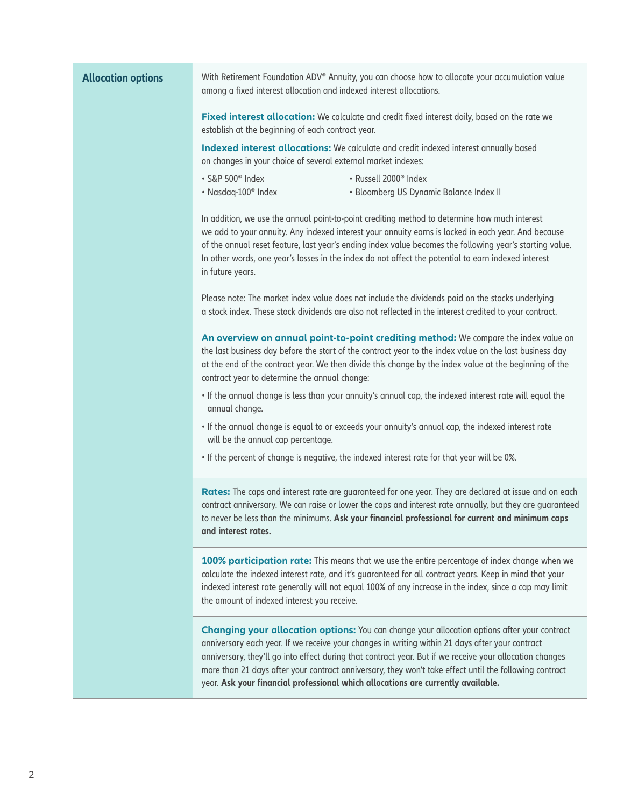| <b>Allocation options</b> | With Retirement Foundation ADV® Annuity, you can choose how to allocate your accumulation value<br>among a fixed interest allocation and indexed interest allocations.                                                                                                                                                                                                                                                                                                                                    |  |  |  |  |  |
|---------------------------|-----------------------------------------------------------------------------------------------------------------------------------------------------------------------------------------------------------------------------------------------------------------------------------------------------------------------------------------------------------------------------------------------------------------------------------------------------------------------------------------------------------|--|--|--|--|--|
|                           | Fixed interest allocation: We calculate and credit fixed interest daily, based on the rate we<br>establish at the beginning of each contract year.                                                                                                                                                                                                                                                                                                                                                        |  |  |  |  |  |
|                           | Indexed interest allocations: We calculate and credit indexed interest annually based<br>on changes in your choice of several external market indexes:                                                                                                                                                                                                                                                                                                                                                    |  |  |  |  |  |
|                           | · S&P 500 <sup>®</sup> Index<br>• Russell 2000 <sup>®</sup> Index<br>• Nasdaq-100 <sup>®</sup> Index<br>• Bloomberg US Dynamic Balance Index II                                                                                                                                                                                                                                                                                                                                                           |  |  |  |  |  |
|                           | In addition, we use the annual point-to-point crediting method to determine how much interest<br>we add to your annuity. Any indexed interest your annuity earns is locked in each year. And because<br>of the annual reset feature, last year's ending index value becomes the following year's starting value.<br>In other words, one year's losses in the index do not affect the potential to earn indexed interest<br>in future years.                                                               |  |  |  |  |  |
|                           | Please note: The market index value does not include the dividends paid on the stocks underlying<br>a stock index. These stock dividends are also not reflected in the interest credited to your contract.                                                                                                                                                                                                                                                                                                |  |  |  |  |  |
|                           | An overview on annual point-to-point crediting method: We compare the index value on<br>the last business day before the start of the contract year to the index value on the last business day<br>at the end of the contract year. We then divide this change by the index value at the beginning of the<br>contract year to determine the annual change:                                                                                                                                                |  |  |  |  |  |
|                           | . If the annual change is less than your annuity's annual cap, the indexed interest rate will equal the<br>annual change.                                                                                                                                                                                                                                                                                                                                                                                 |  |  |  |  |  |
|                           | . If the annual change is equal to or exceeds your annuity's annual cap, the indexed interest rate<br>will be the annual cap percentage.                                                                                                                                                                                                                                                                                                                                                                  |  |  |  |  |  |
|                           | . If the percent of change is negative, the indexed interest rate for that year will be 0%.                                                                                                                                                                                                                                                                                                                                                                                                               |  |  |  |  |  |
|                           | Rates: The caps and interest rate are guaranteed for one year. They are declared at issue and on each<br>contract anniversary. We can raise or lower the caps and interest rate annually, but they are guaranteed<br>to never be less than the minimums. Ask your financial professional for current and minimum caps<br>and interest rates.                                                                                                                                                              |  |  |  |  |  |
|                           | 100% participation rate: This means that we use the entire percentage of index change when we<br>calculate the indexed interest rate, and it's guaranteed for all contract years. Keep in mind that your<br>indexed interest rate generally will not equal 100% of any increase in the index, since a cap may limit<br>the amount of indexed interest you receive.                                                                                                                                        |  |  |  |  |  |
|                           | Changing your allocation options: You can change your allocation options after your contract<br>anniversary each year. If we receive your changes in writing within 21 days after your contract<br>anniversary, they'll go into effect during that contract year. But if we receive your allocation changes<br>more than 21 days after your contract anniversary, they won't take effect until the following contract<br>year. Ask your financial professional which allocations are currently available. |  |  |  |  |  |
|                           |                                                                                                                                                                                                                                                                                                                                                                                                                                                                                                           |  |  |  |  |  |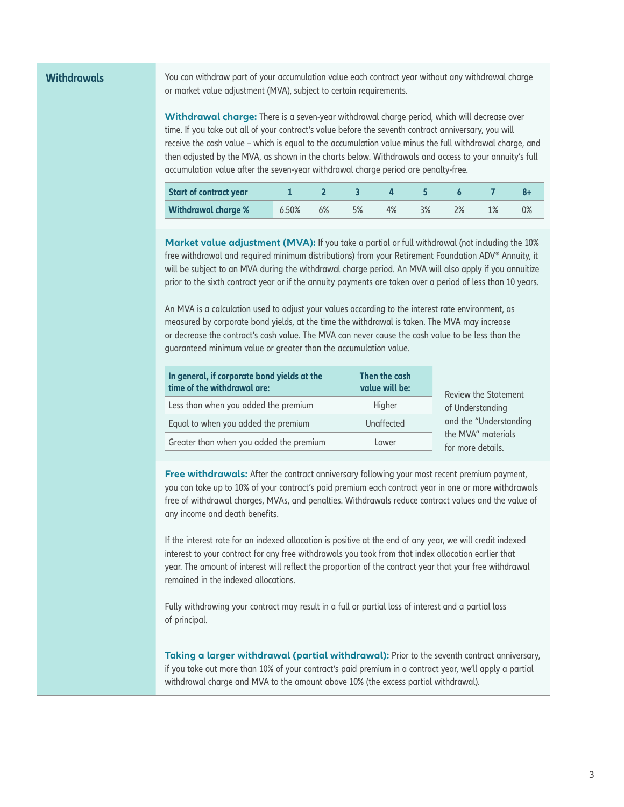**Withdrawals** You can withdraw part of your accumulation value each contract year without any withdrawal charge or market value adjustment (MVA), subject to certain requirements.

> **Withdrawal charge:** There is a seven-year withdrawal charge period, which will decrease over time. If you take out all of your contract's value before the seventh contract anniversary, you will receive the cash value – which is equal to the accumulation value minus the full withdrawal charge, and then adjusted by the MVA, as shown in the charts below. Withdrawals and access to your annuity's full accumulation value after the seven-year withdrawal charge period are penalty-free.

| <b>Start of contract year</b> |          |    |  |    |  |    |
|-------------------------------|----------|----|--|----|--|----|
| <b>Withdrawal charge %</b>    | $5.50\%$ | 6% |  | 3% |  | 0% |

Market value adjustment (MVA): If you take a partial or full withdrawal (not including the 10% free withdrawal and required minimum distributions) from your Retirement Foundation ADV® Annuity, it will be subject to an MVA during the withdrawal charge period. An MVA will also apply if you annuitize prior to the sixth contract year or if the annuity payments are taken over a period of less than 10 years.

An MVA is a calculation used to adjust your values according to the interest rate environment, as measured by corporate bond yields, at the time the withdrawal is taken. The MVA may increase or decrease the contract's cash value. The MVA can never cause the cash value to be less than the guaranteed minimum value or greater than the accumulation value.

| In general, if corporate bond yields at the<br>time of the withdrawal are: | Then the cash<br>value will be: | <b>Review the Statement</b><br>of Understanding |  |  |
|----------------------------------------------------------------------------|---------------------------------|-------------------------------------------------|--|--|
| Less than when you added the premium                                       | Higher                          |                                                 |  |  |
| Equal to when you added the premium                                        | Unaffected                      | and the "Understanding                          |  |  |
| Greater than when you added the premium                                    | Lower                           | the MVA" materials<br>for more details.         |  |  |

**Free withdrawals:** After the contract anniversary following your most recent premium payment, you can take up to 10% of your contract's paid premium each contract year in one or more withdrawals free of withdrawal charges, MVAs, and penalties. Withdrawals reduce contract values and the value of any income and death benefits.

If the interest rate for an indexed allocation is positive at the end of any year, we will credit indexed interest to your contract for any free withdrawals you took from that index allocation earlier that year. The amount of interest will reflect the proportion of the contract year that your free withdrawal remained in the indexed allocations.

Fully withdrawing your contract may result in a full or partial loss of interest and a partial loss of principal.

**Taking a larger withdrawal (partial withdrawal):** Prior to the seventh contract anniversary, if you take out more than 10% of your contract's paid premium in a contract year, we'll apply a partial withdrawal charge and MVA to the amount above 10% (the excess partial withdrawal).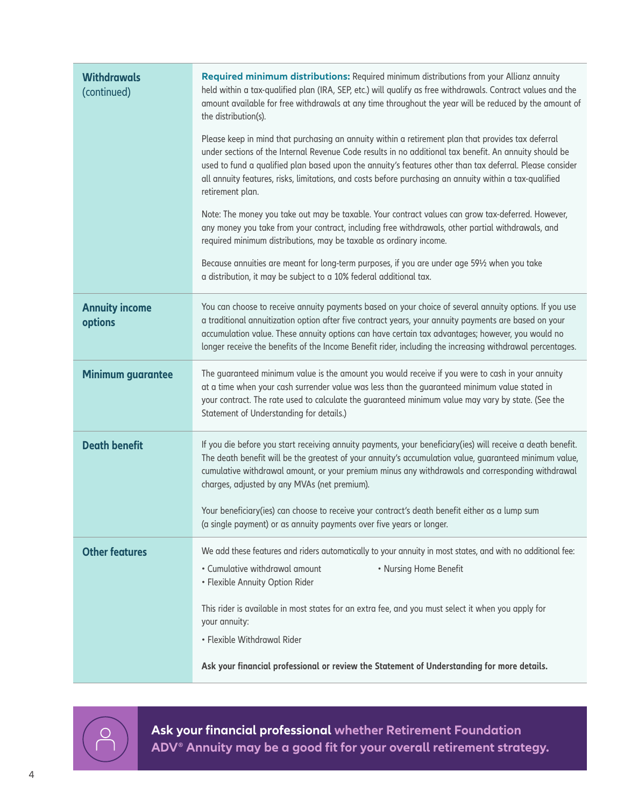| <b>Withdrawals</b><br>(continued) | Required minimum distributions: Required minimum distributions from your Allianz annuity<br>held within a tax-qualified plan (IRA, SEP, etc.) will qualify as free withdrawals. Contract values and the<br>amount available for free withdrawals at any time throughout the year will be reduced by the amount of<br>the distribution(s).                                                                                                               |
|-----------------------------------|---------------------------------------------------------------------------------------------------------------------------------------------------------------------------------------------------------------------------------------------------------------------------------------------------------------------------------------------------------------------------------------------------------------------------------------------------------|
|                                   | Please keep in mind that purchasing an annuity within a retirement plan that provides tax deferral<br>under sections of the Internal Revenue Code results in no additional tax benefit. An annuity should be<br>used to fund a qualified plan based upon the annuity's features other than tax deferral. Please consider<br>all annuity features, risks, limitations, and costs before purchasing an annuity within a tax-qualified<br>retirement plan. |
|                                   | Note: The money you take out may be taxable. Your contract values can grow tax-deferred. However,<br>any money you take from your contract, including free withdrawals, other partial withdrawals, and<br>required minimum distributions, may be taxable as ordinary income.                                                                                                                                                                            |
|                                   | Because annuities are meant for long-term purposes, if you are under age 591/2 when you take<br>a distribution, it may be subject to a 10% federal additional tax.                                                                                                                                                                                                                                                                                      |
| <b>Annuity income</b><br>options  | You can choose to receive annuity payments based on your choice of several annuity options. If you use<br>a traditional annuitization option after five contract years, your annuity payments are based on your<br>accumulation value. These annuity options can have certain tax advantages; however, you would no<br>longer receive the benefits of the Income Benefit rider, including the increasing withdrawal percentages.                        |
| <b>Minimum guarantee</b>          | The guaranteed minimum value is the amount you would receive if you were to cash in your annuity<br>at a time when your cash surrender value was less than the guaranteed minimum value stated in<br>your contract. The rate used to calculate the guaranteed minimum value may vary by state. (See the<br>Statement of Understanding for details.)                                                                                                     |
| <b>Death benefit</b>              | If you die before you start receiving annuity payments, your beneficiary(ies) will receive a death benefit.<br>The death benefit will be the greatest of your annuity's accumulation value, guaranteed minimum value,<br>cumulative withdrawal amount, or your premium minus any withdrawals and corresponding withdrawal<br>charges, adjusted by any MVAs (net premium).                                                                               |
|                                   | Your beneficiary(ies) can choose to receive your contract's death benefit either as a lump sum<br>(a single payment) or as annuity payments over five years or longer.                                                                                                                                                                                                                                                                                  |
| <b>Other features</b>             | We add these features and riders automatically to your annuity in most states, and with no additional fee:<br>• Cumulative withdrawal amount<br>• Nursing Home Benefit<br>• Flexible Annuity Option Rider                                                                                                                                                                                                                                               |
|                                   | This rider is available in most states for an extra fee, and you must select it when you apply for<br>your annuity:                                                                                                                                                                                                                                                                                                                                     |
|                                   | · Flexible Withdrawal Rider                                                                                                                                                                                                                                                                                                                                                                                                                             |
|                                   | Ask your financial professional or review the Statement of Understanding for more details.                                                                                                                                                                                                                                                                                                                                                              |



**Ask your financial professional whether Retirement Foundation ADV® Annuity may be a good fit for your overall retirement strategy.**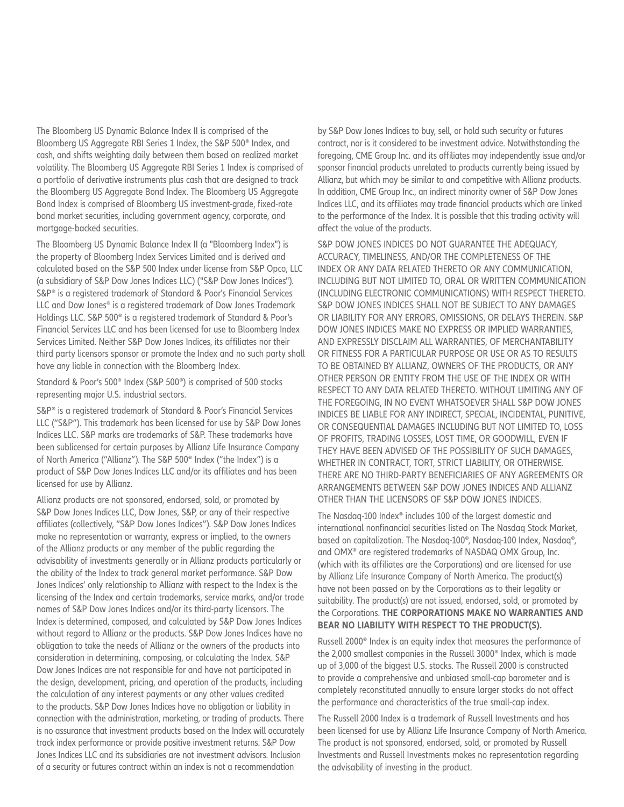The Bloomberg US Dynamic Balance Index II is comprised of the Bloomberg US Aggregate RBI Series 1 Index, the S&P 500® Index, and cash, and shifts weighting daily between them based on realized market volatility. The Bloomberg US Aggregate RBI Series 1 Index is comprised of a portfolio of derivative instruments plus cash that are designed to track the Bloomberg US Aggregate Bond Index. The Bloomberg US Aggregate Bond Index is comprised of Bloomberg US investment-grade, fixed-rate bond market securities, including government agency, corporate, and mortgage-backed securities.

The Bloomberg US Dynamic Balance Index II (a "Bloomberg Index") is the property of Bloomberg Index Services Limited and is derived and calculated based on the S&P 500 Index under license from S&P Opco, LLC (a subsidiary of S&P Dow Jones Indices LLC) ("S&P Dow Jones Indices"). S&P® is a registered trademark of Standard & Poor's Financial Services LLC and Dow Jones® is a registered trademark of Dow Jones Trademark Holdings LLC. S&P 500® is a registered trademark of Standard & Poor's Financial Services LLC and has been licensed for use to Bloomberg Index Services Limited. Neither S&P Dow Jones Indices, its affiliates nor their third party licensors sponsor or promote the Index and no such party shall have any liable in connection with the Bloomberg Index.

Standard & Poor's 500® Index (S&P 500®) is comprised of 500 stocks representing major U.S. industrial sectors.

S&P® is a registered trademark of Standard & Poor's Financial Services LLC ("S&P"). This trademark has been licensed for use by S&P Dow Jones Indices LLC. S&P marks are trademarks of S&P. These trademarks have been sublicensed for certain purposes by Allianz Life Insurance Company of North America ("Allianz"). The S&P 500® Index ("the Index") is a product of S&P Dow Jones Indices LLC and/or its affiliates and has been licensed for use by Allianz.

Allianz products are not sponsored, endorsed, sold, or promoted by S&P Dow Jones Indices LLC, Dow Jones, S&P, or any of their respective affiliates (collectively, "S&P Dow Jones Indices"). S&P Dow Jones Indices make no representation or warranty, express or implied, to the owners of the Allianz products or any member of the public regarding the advisability of investments generally or in Allianz products particularly or the ability of the Index to track general market performance. S&P Dow Jones Indices' only relationship to Allianz with respect to the Index is the licensing of the Index and certain trademarks, service marks, and/or trade names of S&P Dow Jones Indices and/or its third-party licensors. The Index is determined, composed, and calculated by S&P Dow Jones Indices without regard to Allianz or the products. S&P Dow Jones Indices have no obligation to take the needs of Allianz or the owners of the products into consideration in determining, composing, or calculating the Index. S&P Dow Jones Indices are not responsible for and have not participated in the design, development, pricing, and operation of the products, including the calculation of any interest payments or any other values credited to the products. S&P Dow Jones Indices have no obligation or liability in connection with the administration, marketing, or trading of products. There is no assurance that investment products based on the Index will accurately track index performance or provide positive investment returns. S&P Dow Jones Indices LLC and its subsidiaries are not investment advisors. Inclusion of a security or futures contract within an index is not a recommendation

by S&P Dow Jones Indices to buy, sell, or hold such security or futures contract, nor is it considered to be investment advice. Notwithstanding the foregoing, CME Group Inc. and its affiliates may independently issue and/or sponsor financial products unrelated to products currently being issued by Allianz, but which may be similar to and competitive with Allianz products. In addition, CME Group Inc., an indirect minority owner of S&P Dow Jones Indices LLC, and its affiliates may trade financial products which are linked to the performance of the Index. It is possible that this trading activity will affect the value of the products.

S&P DOW JONES INDICES DO NOT GUARANTEE THE ADEQUACY, ACCURACY, TIMELINESS, AND/OR THE COMPLETENESS OF THE INDEX OR ANY DATA RELATED THERETO OR ANY COMMUNICATION, INCLUDING BUT NOT LIMITED TO, ORAL OR WRITTEN COMMUNICATION (INCLUDING ELECTRONIC COMMUNICATIONS) WITH RESPECT THERETO. S&P DOW JONES INDICES SHALL NOT BE SUBJECT TO ANY DAMAGES OR LIABILITY FOR ANY ERRORS, OMISSIONS, OR DELAYS THEREIN. S&P DOW JONES INDICES MAKE NO EXPRESS OR IMPLIED WARRANTIES, AND EXPRESSLY DISCLAIM ALL WARRANTIES, OF MERCHANTABILITY OR FITNESS FOR A PARTICULAR PURPOSE OR USE OR AS TO RESULTS TO BE OBTAINED BY ALLIANZ, OWNERS OF THE PRODUCTS, OR ANY OTHER PERSON OR ENTITY FROM THE USE OF THE INDEX OR WITH RESPECT TO ANY DATA RELATED THERETO. WITHOUT LIMITING ANY OF THE FOREGOING, IN NO EVENT WHATSOEVER SHALL S&P DOW JONES INDICES BE LIABLE FOR ANY INDIRECT, SPECIAL, INCIDENTAL, PUNITIVE, OR CONSEQUENTIAL DAMAGES INCLUDING BUT NOT LIMITED TO, LOSS OF PROFITS, TRADING LOSSES, LOST TIME, OR GOODWILL, EVEN IF THEY HAVE BEEN ADVISED OF THE POSSIBILITY OF SUCH DAMAGES, WHETHER IN CONTRACT, TORT, STRICT LIABILITY, OR OTHERWISE. THERE ARE NO THIRD-PARTY BENEFICIARIES OF ANY AGREEMENTS OR ARRANGEMENTS BETWEEN S&P DOW JONES INDICES AND ALLIANZ OTHER THAN THE LICENSORS OF S&P DOW JONES INDICES.

The Nasdaq-100 Index® includes 100 of the largest domestic and international nonfinancial securities listed on The Nasdaq Stock Market, based on capitalization. The Nasdaq-100®, Nasdaq-100 Index, Nasdaq®, and OMX® are registered trademarks of NASDAQ OMX Group, Inc. (which with its affiliates are the Corporations) and are licensed for use by Allianz Life Insurance Company of North America. The product(s) have not been passed on by the Corporations as to their legality or suitability. The product(s) are not issued, endorsed, sold, or promoted by the Corporations. **THE CORPORATIONS MAKE NO WARRANTIES AND BEAR NO LIABILITY WITH RESPECT TO THE PRODUCT(S).**

Russell 2000® Index is an equity index that measures the performance of the 2,000 smallest companies in the Russell 3000® Index, which is made up of 3,000 of the biggest U.S. stocks. The Russell 2000 is constructed to provide a comprehensive and unbiased small-cap barometer and is completely reconstituted annually to ensure larger stocks do not affect the performance and characteristics of the true small-cap index.

The Russell 2000 Index is a trademark of Russell Investments and has been licensed for use by Allianz Life Insurance Company of North America. The product is not sponsored, endorsed, sold, or promoted by Russell Investments and Russell Investments makes no representation regarding the advisability of investing in the product.